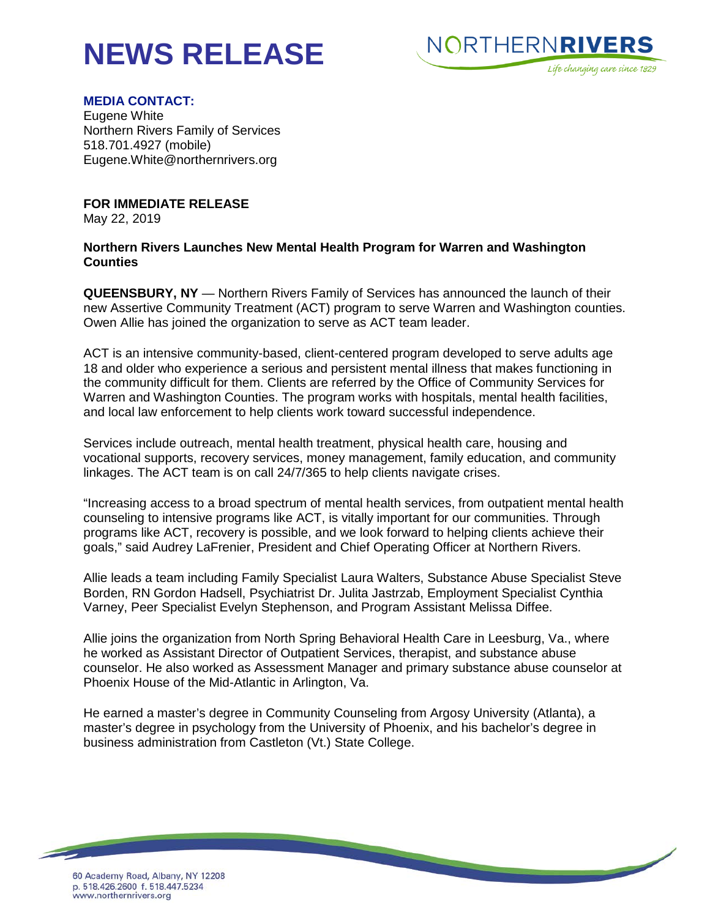## **NEWS RELEASE**



## **MEDIA CONTACT:**

Eugene White Northern Rivers Family of Services 518.701.4927 (mobile) Eugene.White@northernrivers.org

**FOR IMMEDIATE RELEASE**

May 22, 2019

## **Northern Rivers Launches New Mental Health Program for Warren and Washington Counties**

**QUEENSBURY, NY** — Northern Rivers Family of Services has announced the launch of their new Assertive Community Treatment (ACT) program to serve Warren and Washington counties. Owen Allie has joined the organization to serve as ACT team leader.

ACT is an intensive community-based, client-centered program developed to serve adults age 18 and older who experience a serious and persistent mental illness that makes functioning in the community difficult for them. Clients are referred by the Office of Community Services for Warren and Washington Counties. The program works with hospitals, mental health facilities, and local law enforcement to help clients work toward successful independence.

Services include outreach, mental health treatment, physical health care, housing and vocational supports, recovery services, money management, family education, and community linkages. The ACT team is on call 24/7/365 to help clients navigate crises.

"Increasing access to a broad spectrum of mental health services, from outpatient mental health counseling to intensive programs like ACT, is vitally important for our communities. Through programs like ACT, recovery is possible, and we look forward to helping clients achieve their goals," said Audrey LaFrenier, President and Chief Operating Officer at Northern Rivers.

Allie leads a team including Family Specialist Laura Walters, Substance Abuse Specialist Steve Borden, RN Gordon Hadsell, Psychiatrist Dr. Julita Jastrzab, Employment Specialist Cynthia Varney, Peer Specialist Evelyn Stephenson, and Program Assistant Melissa Diffee.

Allie joins the organization from North Spring Behavioral Health Care in Leesburg, Va., where he worked as Assistant Director of Outpatient Services, therapist, and substance abuse counselor. He also worked as Assessment Manager and primary substance abuse counselor at Phoenix House of the Mid-Atlantic in Arlington, Va.

He earned a master's degree in Community Counseling from Argosy University (Atlanta), a master's degree in psychology from the University of Phoenix, and his bachelor's degree in business administration from Castleton (Vt.) State College.

<u> The Company of the Company of the Company of the Company of the Company of the Company of the Company of the Company of the Company of the Company of the Company of the Company of the Company of the Company of the Compan</u>

60 Academy Road, Albany, NY 12208 p. 518.426.2600 f. 518.447.5234 www.northernrivers.org